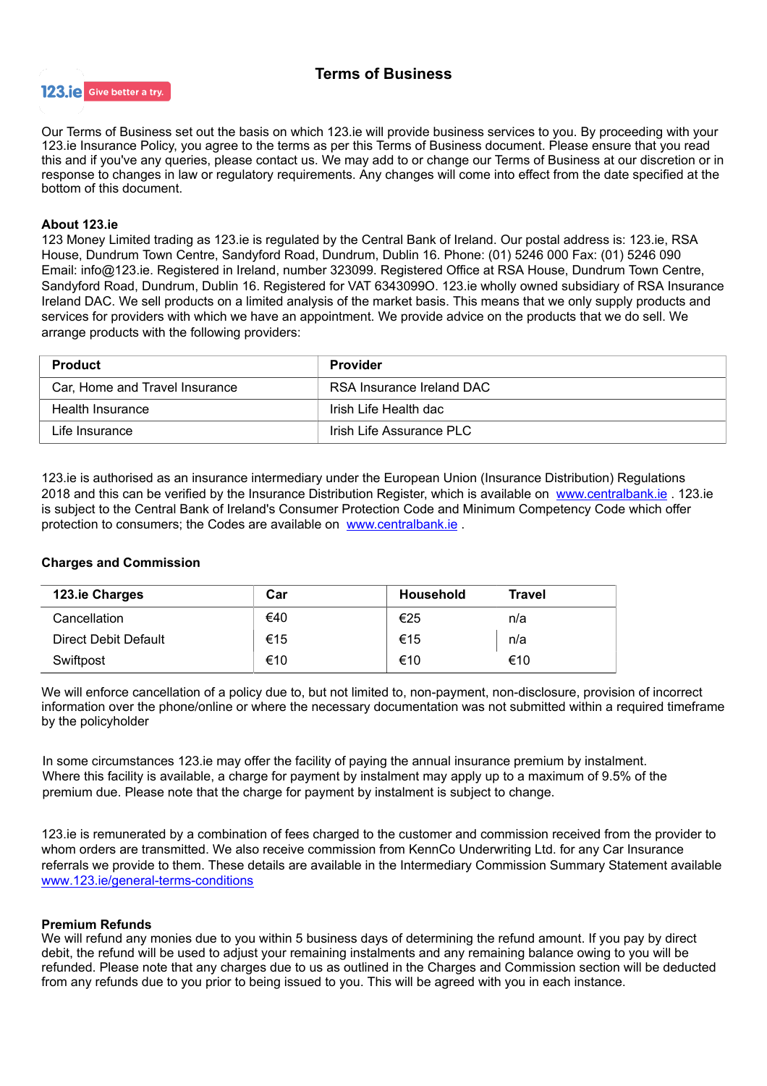# Terms of Business



Our Terms of Business set out the basis on which 123.ie will provide business services to you. By proceeding with your 123.ie Insurance Policy, you agree to the terms as per this Terms of Business document. Please ensure that you read this and if you've any queries, please contact us. We may add to or change our Terms of Business at our discretion or in response to changes in law or regulatory requirements. Any changes will come into effect from the date specified at the bottom of this document.

# About 123.ie

123 Money Limited trading as 123.ie is regulated by the Central Bank of Ireland. Our postal address is: 123.ie, RSA House, Dundrum Town Centre, Sandyford Road, Dundrum, Dublin 16. Phone: (01) 5246 000 Fax: (01) 5246 090 Email: info@123.ie. Registered in Ireland, number 323099. Registered Office at RSA House, Dundrum Town Centre, Sandyford Road, Dundrum, Dublin 16. Registered for VAT 6343099O. 123.ie wholly owned subsidiary of RSA Insurance Ireland DAC. We sell products on a limited analysis of the market basis. This means that we only supply products and services for providers with which we have an appointment. We provide advice on the products that we do sell. We arrange products with the following providers:

| Product                        | <b>Provider</b>           |
|--------------------------------|---------------------------|
| Car, Home and Travel Insurance | RSA Insurance Ireland DAC |
| Health Insurance               | Irish Life Health dac     |
| Life Insurance                 | Irish Life Assurance PLC  |

123.ie is authorised as an insurance intermediary under the European Union (Insurance Distribution) Regulations 2018 and this can be verified by the Insurance Distribution Register, which is available on [www.centralbank.ie](http://www.centralbank.ie/) . 123.ie is subject to the Central Bank of Ireland's Consumer Protection Code and Minimum Competency Code which offer protection to consumers; the Codes are available on [www.centralbank.ie](http://www.centralbank.ie/) .

# Charges and Commission

| 123.ie Charges              | Car | <b>Household</b> | <b>Travel</b> |
|-----------------------------|-----|------------------|---------------|
| Cancellation                | €40 | €25              | n/a           |
| <b>Direct Debit Default</b> | €15 | €15              | n/a           |
| Swiftpost                   | €10 | €10              | €10           |

We will enforce cancellation of a policy due to, but not limited to, non-payment, non-disclosure, provision of incorrect information over the phone/online or where the necessary documentation was not submitted within a required timeframe by the policyholder

In some circumstances 123.ie may offer the facility of paying the annual insurance premium by instalment. Where this facility is available, a charge for payment by instalment may apply up to a maximum of 9.5% of the premium due. Please note that the charge for payment by instalment is subject to change.

123.ie is remunerated by a combination of fees charged to the customer and commission received from the provider to whom orders are transmitted. We also receive commission from KennCo Underwriting Ltd. for any Car Insurance referrals we provide to them. These details are available in the Intermediary Commission Summary Statement available [www.123.ie/general-terms-conditions](http://www.123.ie/general-terms-conditions)

# Premium Refunds

We will refund any monies due to you within 5 business days of determining the refund amount. If you pay by direct debit, the refund will be used to adjust your remaining instalments and any remaining balance owing to you will be refunded. Please note that any charges due to us as outlined in the Charges and Commission section will be deducted from any refunds due to you prior to being issued to you. This will be agreed with you in each instance.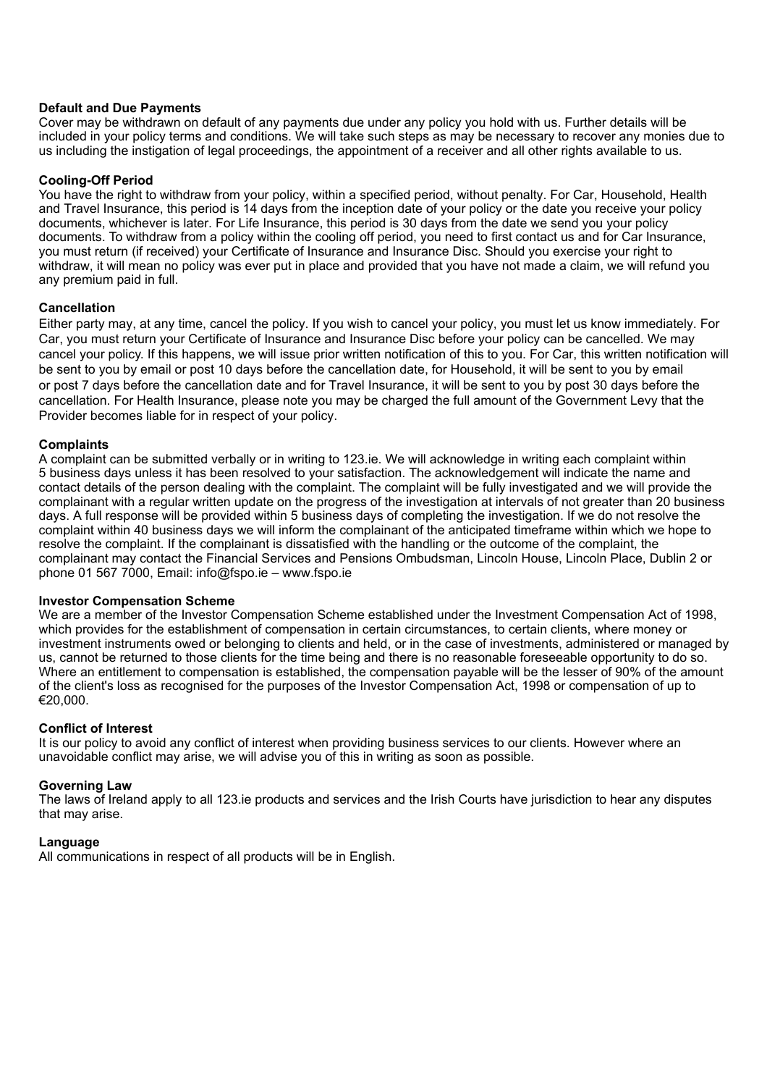## **Default and Due Payments**

Cover may be withdrawn on default of any payments due under any policy you hold with us. Further details will be included in your policy terms and conditions. We will take such steps as may be necessary to recover any monies due to us including the instigation of legal proceedings, the appointment of a receiver and all other rights available to us.

## Cooling-Off Period

You have the right to withdraw from your policy, within a specified period, without penalty. For Car, Household, Health and Travel Insurance, this period is 14 days from the inception date of your policy or the date you receive your policy documents, whichever is later. For Life Insurance, this period is 30 days from the date we send you your policy documents. To withdraw from a policy within the cooling off period, you need to first contact us and for Car Insurance, you must return (if received) your Certificate of Insurance and Insurance Disc. Should you exercise your right to withdraw, it will mean no policy was ever put in place and provided that you have not made a claim, we will refund you any premium paid in full.

## **Cancellation**

Either party may, at any time, cancel the policy. If you wish to cancel your policy, you must let us know immediately. For Car, you must return your Certificate of Insurance and Insurance Disc before your policy can be cancelled. We may cancel your policy. If this happens, we will issue prior written notification of this to you. For Car, this written notification will be sent to you by email or post 10 days before the cancellation date, for Household, it will be sent to you by email or post 7 days before the cancellation date and for Travel Insurance, it will be sent to you by post 30 days before the cancellation. For Health Insurance, please note you may be charged the full amount of the Government Levy that the Provider becomes liable for in respect of your policy.

## **Complaints**

A complaint can be submitted verbally or in writing to 123.ie. We will acknowledge in writing each complaint within 5 business days unless it has been resolved to your satisfaction. The acknowledgement will indicate the name and contact details of the person dealing with the complaint. The complaint will be fully investigated and we will provide the complainant with a regular written update on the progress of the investigation at intervals of not greater than 20 business days. A full response will be provided within 5 business days of completing the investigation. If we do not resolve the complaint within 40 business days we will inform the complainant of the anticipated timeframe within which we hope to resolve the complaint. If the complainant is dissatisfied with the handling or the outcome of the complaint, the complainant may contact the Financial Services and Pensions Ombudsman, Lincoln House, Lincoln Place, Dublin 2 or phone 01 567 7000, Email: info@fspo.ie – www.fspo.ie

## Investor Compensation Scheme

We are a member of the Investor Compensation Scheme established under the Investment Compensation Act of 1998. which provides for the establishment of compensation in certain circumstances, to certain clients, where money or investment instruments owed or belonging to clients and held, or in the case of investments, administered or managed by us, cannot be returned to those clients for the time being and there is no reasonable foreseeable opportunity to do so. Where an entitlement to compensation is established, the compensation payable will be the lesser of 90% of the amount of the client's loss as recognised for the purposes of the Investor Compensation Act, 1998 or compensation of up to €20,000.

## Conflict of Interest

It is our policy to avoid any conflict of interest when providing business services to our clients. However where an unavoidable conflict may arise, we will advise you of this in writing as soon as possible.

## Governing Law

The laws of Ireland apply to all 123.ie products and services and the Irish Courts have jurisdiction to hear any disputes that may arise.

## Language

All communications in respect of all products will be in English.